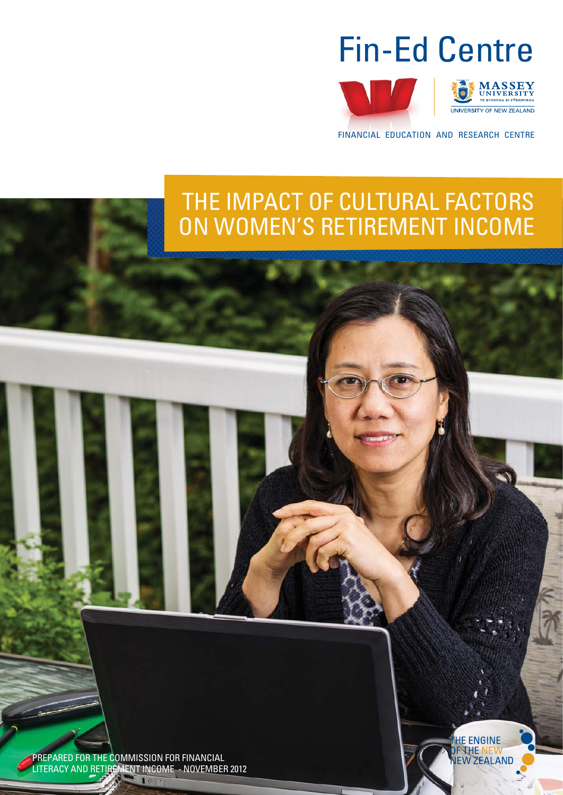





FINANCIAL EDUCATION AND RESEARCH CENTRE

# THE IMPACT OF CULTURAL FACTORS ON WOMEN'S RETIREMENT INCOME

PREPARED FOR THE COMMISSION FOR FINANCIAL LITERACY AND RETIREMENT INCOME - NOVEMBER 2012

 $101$ 

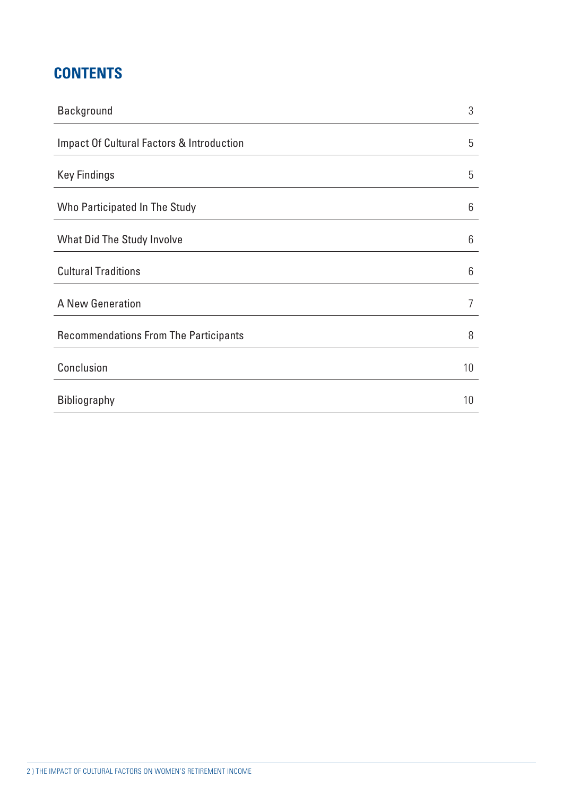# **CONTENTS**

| <b>Background</b>                                    | 3  |
|------------------------------------------------------|----|
| <b>Impact Of Cultural Factors &amp; Introduction</b> | 5  |
| <b>Key Findings</b>                                  | 5  |
| Who Participated In The Study                        | 6  |
| What Did The Study Involve                           | 6  |
| <b>Cultural Traditions</b>                           | 6  |
| A New Generation                                     | 7  |
| <b>Recommendations From The Participants</b>         | 8  |
| Conclusion                                           | 10 |
| <b>Bibliography</b>                                  | 10 |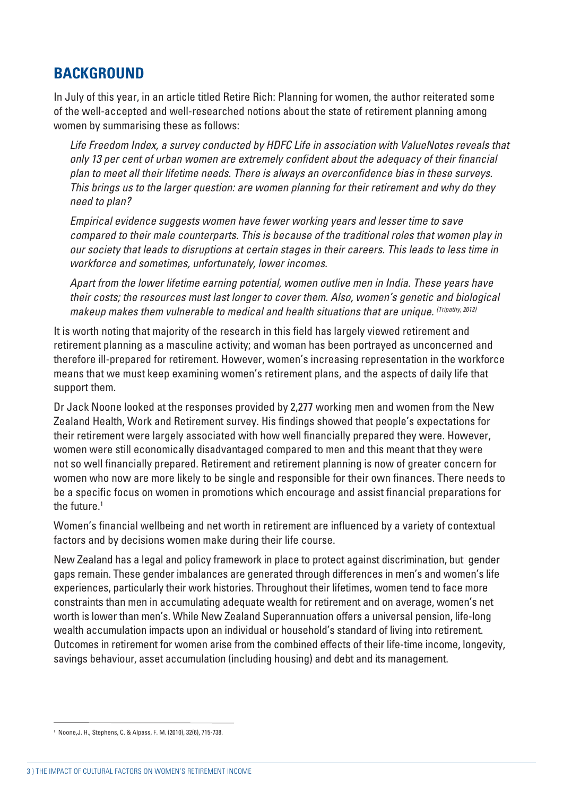### **BACKGROUND**

In July of this year, in an article titled Retire Rich: Planning for women, the author reiterated some of the well-accepted and well-researched notions about the state of retirement planning among women by summarising these as follows:

Life Freedom Index, a survey conducted by HDFC Life in association with ValueNotes reveals that only 13 per cent of urban women are extremely confident about the adequacy of their financial plan to meet all their lifetime needs. There is always an overconfidence bias in these surveys. This brings us to the larger question: are women planning for their retirement and why do they need to plan?

Empirical evidence suggests women have fewer working years and lesser time to save compared to their male counterparts. This is because of the traditional roles that women play in our society that leads to disruptions at certain stages in their careers. This leads to less time in workforce and sometimes, unfortunately, lower incomes.

Apart from the lower lifetime earning potential, women outlive men in India. These years have their costs; the resources must last longer to cover them. Also, women's genetic and biological makeup makes them vulnerable to medical and health situations that are unique. (Tripathy, 2012)

It is worth noting that majority of the research in this field has largely viewed retirement and retirement planning as a masculine activity; and woman has been portrayed as unconcerned and therefore ill-prepared for retirement. However, women's increasing representation in the workforce means that we must keep examining women's retirement plans, and the aspects of daily life that support them.

Dr Jack Noone looked at the responses provided by 2,277 working men and women from the New Zealand Health, Work and Retirement survey. His findings showed that people's expectations for their retirement were largely associated with how well financially prepared they were. However, women were still economically disadvantaged compared to men and this meant that they were not so well financially prepared. Retirement and retirement planning is now of greater concern for women who now are more likely to be single and responsible for their own finances. There needs to be a specific focus on women in promotions which encourage and assist financial preparations for the future.<sup>1</sup>

Women's financial wellbeing and net worth in retirement are influenced by a variety of contextual factors and by decisions women make during their life course.

New Zealand has a legal and policy framework in place to protect against discrimination, but gender gaps remain. These gender imbalances are generated through differences in men's and women's life experiences, particularly their work histories. Throughout their lifetimes, women tend to face more constraints than men in accumulating adequate wealth for retirement and on average, women's net worth is lower than men's. While New Zealand Superannuation offers a universal pension, life-long wealth accumulation impacts upon an individual or household's standard of living into retirement. Outcomes in retirement for women arise from the combined effects of their life-time income, longevity, savings behaviour, asset accumulation (including housing) and debt and its management.

<sup>1</sup> Noone,J. H., Stephens, C. & Alpass, F. M. (2010), 32(6), 715-738.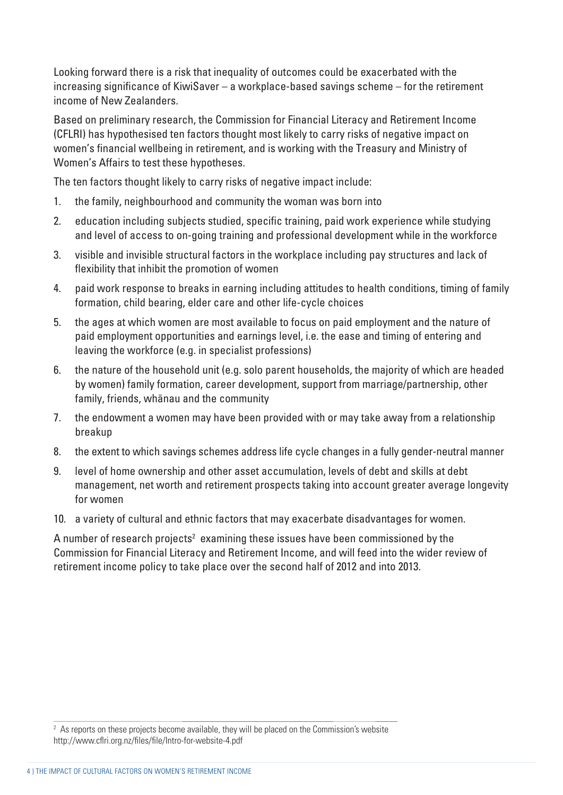Looking forward there is a risk that inequality of outcomes could be exacerbated with the increasing significance of KiwiSaver – a workplace-based savings scheme – for the retirement income of New Zealanders.

Based on preliminary research, the Commission for Financial Literacy and Retirement Income (CFLRI) has hypothesised ten factors thought most likely to carry risks of negative impact on women's financial wellbeing in retirement, and is working with the Treasury and Ministry of Women's Affairs to test these hypotheses.

The ten factors thought likely to carry risks of negative impact include:

- 1. the family, neighbourhood and community the woman was born into
- 2. education including subjects studied, specific training, paid work experience while studying and level of access to on-going training and professional development while in the workforce
- 3. visible and invisible structural factors in the workplace including pay structures and lack of flexibility that inhibit the promotion of women
- 4. paid work response to breaks in earning including attitudes to health conditions, timing of family formation, child bearing, elder care and other life-cycle choices
- 5. the ages at which women are most available to focus on paid employment and the nature of paid employment opportunities and earnings level, i.e. the ease and timing of entering and leaving the workforce (e.g. in specialist professions)
- 6. the nature of the household unit (e.g. solo parent households, the majority of which are headed by women) family formation, career development, support from marriage/partnership, other family, friends, whänau and the community
- 7. the endowment a women may have been provided with or may take away from a relationship breakup
- 8. the extent to which savings schemes address life cycle changes in a fully gender-neutral manner
- 9. level of home ownership and other asset accumulation, levels of debt and skills at debt management, net worth and retirement prospects taking into account greater average longevity for women
- 10. a variety of cultural and ethnic factors that may exacerbate disadvantages for women.

A number of research projects $^{\rm 2}$  examining these issues have been commissioned by the Commission for Financial Literacy and Retirement Income, and will feed into the wider review of retirement income policy to take place over the second half of 2012 and into 2013.

 $^2$  As reports on these projects become available, they will be placed on the Commission's website http://www.cflri.org.nz/files/file/Intro-for-website-4.pdf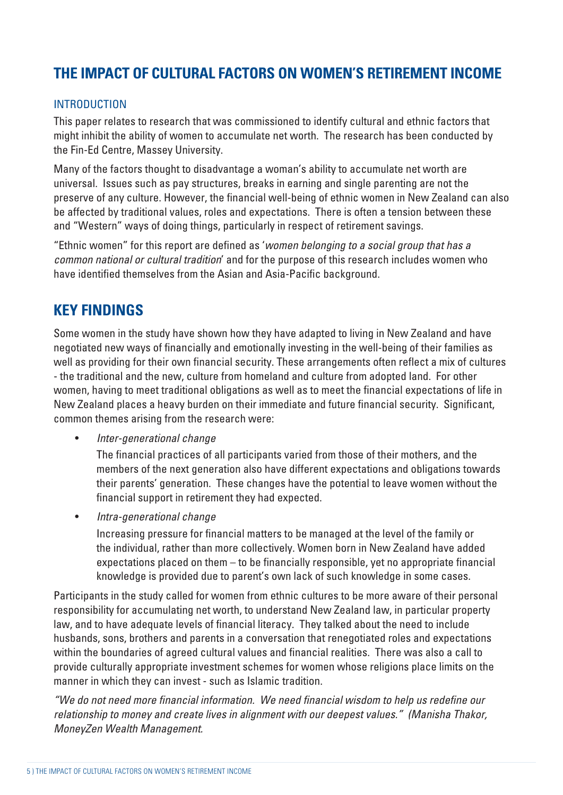# **THE IMPACT OF CULTURAL FACTORS ON WOMEN'S RETIREMENT INCOME**

#### **INTRODUCTION**

This paper relates to research that was commissioned to identify cultural and ethnic factors that might inhibit the ability of women to accumulate net worth. The research has been conducted by the Fin-Ed Centre, Massey University.

Many of the factors thought to disadvantage a woman's ability to accumulate net worth are universal. Issues such as pay structures, breaks in earning and single parenting are not the preserve of any culture. However, the financial well-being of ethnic women in New Zealand can also be affected by traditional values, roles and expectations. There is often a tension between these and "Western" ways of doing things, particularly in respect of retirement savings.

"Ethnic women" for this report are defined as 'women belonging to a social group that has a common national or cultural tradition' and for the purpose of this research includes women who have identified themselves from the Asian and Asia-Pacific background.

### **KEY FINDINGS**

Some women in the study have shown how they have adapted to living in New Zealand and have negotiated new ways of financially and emotionally investing in the well-being of their families as well as providing for their own financial security. These arrangements often reflect a mix of cultures - the traditional and the new, culture from homeland and culture from adopted land. For other women, having to meet traditional obligations as well as to meet the financial expectations of life in New Zealand places a heavy burden on their immediate and future financial security. Significant, common themes arising from the research were:

• Inter-generational change

The financial practices of all participants varied from those of their mothers, and the members of the next generation also have different expectations and obligations towards their parents' generation. These changes have the potential to leave women without the financial support in retirement they had expected.

• Intra-generational change

Increasing pressure for financial matters to be managed at the level of the family or the individual, rather than more collectively. Women born in New Zealand have added expectations placed on them  $-$  to be financially responsible, yet no appropriate financial knowledge is provided due to parent's own lack of such knowledge in some cases.

Participants in the study called for women from ethnic cultures to be more aware of their personal responsibility for accumulating net worth, to understand New Zealand law, in particular property law, and to have adequate levels of financial literacy. They talked about the need to include husbands, sons, brothers and parents in a conversation that renegotiated roles and expectations within the boundaries of agreed cultural values and financial realities. There was also a call to provide culturally appropriate investment schemes for women whose religions place limits on the manner in which they can invest - such as Islamic tradition.

"We do not need more financial information. We need financial wisdom to help us redefine our relationship to money and create lives in alignment with our deepest values." (Manisha Thakor, MoneyZen Wealth Management.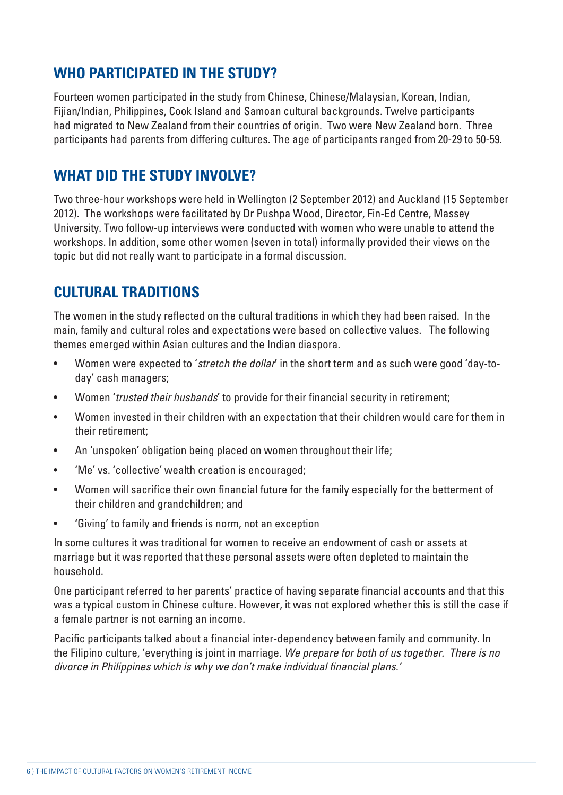# **WHO PARTICIPATED IN THE STUDY?**

Fourteen women participated in the study from Chinese, Chinese/Malaysian, Korean, Indian, Fijian/Indian, Philippines, Cook Island and Samoan cultural backgrounds. Twelve participants had migrated to New Zealand from their countries of origin. Two were New Zealand born. Three participants had parents from differing cultures. The age of participants ranged from 20-29 to 50-59.

### **WHAT DID THE STUDY INVOLVE?**

Two three-hour workshops were held in Wellington (2 September 2012) and Auckland (15 September 2012). The workshops were facilitated by Dr Pushpa Wood, Director, Fin-Ed Centre, Massey University. Two follow-up interviews were conducted with women who were unable to attend the workshops. In addition, some other women (seven in total) informally provided their views on the topic but did not really want to participate in a formal discussion.

# **CULTURAL TRADITIONS**

The women in the study reflected on the cultural traditions in which they had been raised. In the main, family and cultural roles and expectations were based on collective values. The following themes emerged within Asian cultures and the Indian diaspora.

- Women were expected to 'stretch the dollar' in the short term and as such were good 'day-today' cash managers;
- Women 'trusted their husbands' to provide for their financial security in retirement;
- Women invested in their children with an expectation that their children would care for them in their retirement;
- An 'unspoken' obligation being placed on women throughout their life;
- 'Me' vs. 'collective' wealth creation is encouraged;
- Women will sacrifice their own financial future for the family especially for the betterment of their children and grandchildren; and
- 'Giving' to family and friends is norm, not an exception

In some cultures it was traditional for women to receive an endowment of cash or assets at marriage but it was reported that these personal assets were often depleted to maintain the household.

One participant referred to her parents' practice of having separate financial accounts and that this was a typical custom in Chinese culture. However, it was not explored whether this is still the case if a female partner is not earning an income.

Pacific participants talked about a financial inter-dependency between family and community. In the Filipino culture, 'everything is joint in marriage. We prepare for both of us together. There is no divorce in Philippines which is why we don't make individual financial plans.'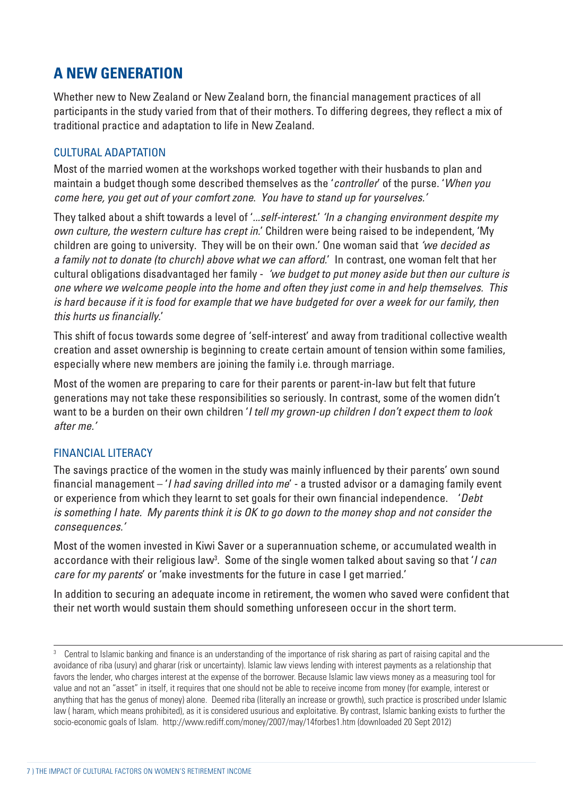# **A NEW GENERATION**

Whether new to New Zealand or New Zealand born, the financial management practices of all participants in the study varied from that of their mothers. To differing degrees, they reflect a mix of traditional practice and adaptation to life in New Zealand.

#### CULTURAL ADAPTATION

Most of the married women at the workshops worked together with their husbands to plan and maintain a budget though some described themselves as the 'controller' of the purse. 'When you come here, you get out of your comfort zone. You have to stand up for yourselves.'

They talked about a shift towards a level of '...self-interest.' 'In a changing environment despite my own culture, the western culture has crept in.' Children were being raised to be independent, 'My children are going to university. They will be on their own.' One woman said that 'we decided as a family not to donate (to church) above what we can afford.' In contrast, one woman felt that her cultural obligations disadvantaged her family - 'we budget to put money aside but then our culture is one where we welcome people into the home and often they just come in and help themselves. This is hard because if it is food for example that we have budgeted for over a week for our family, then this hurts us financially.'

This shift of focus towards some degree of 'self-interest' and away from traditional collective wealth creation and asset ownership is beginning to create certain amount of tension within some families, especially where new members are joining the family i.e. through marriage.

Most of the women are preparing to care for their parents or parent-in-law but felt that future generations may not take these responsibilities so seriously. In contrast, some of the women didn't want to be a burden on their own children 'I tell my grown-up children I don't expect them to look after me.'

#### FINANCIAL LITERACY

The savings practice of the women in the study was mainly influenced by their parents' own sound financial management  $-$  '*I had saving drilled into me'* - a trusted advisor or a damaging family event or experience from which they learnt to set goals for their own financial independence. 'Debt is something I hate. My parents think it is OK to go down to the money shop and not consider the consequences.'

Most of the women invested in Kiwi Saver or a superannuation scheme, or accumulated wealth in accordance with their religious law<sup>3</sup>. Some of the single women talked about saving so that '*I can* care for my parents' or 'make investments for the future in case I get married.'

In addition to securing an adequate income in retirement, the women who saved were confident that their net worth would sustain them should something unforeseen occur in the short term.

<sup>3</sup> Central to Islamic banking and finance is an understanding of the importance of risk sharing as part of raising capital and the avoidance of riba (usury) and gharar (risk or uncertainty). Islamic law views lending with interest payments as a relationship that favors the lender, who charges interest at the expense of the borrower. Because Islamic law views money as a measuring tool for value and not an "asset" in itself, it requires that one should not be able to receive income from money (for example, interest or anything that has the genus of money) alone. Deemed riba (literally an increase or growth), such practice is proscribed under Islamic law ( haram, which means prohibited), as it is considered usurious and exploitative. By contrast, Islamic banking exists to further the socio-economic goals of Islam. http://www.rediff.com/money/2007/may/14forbes1.htm (downloaded 20 Sept 2012)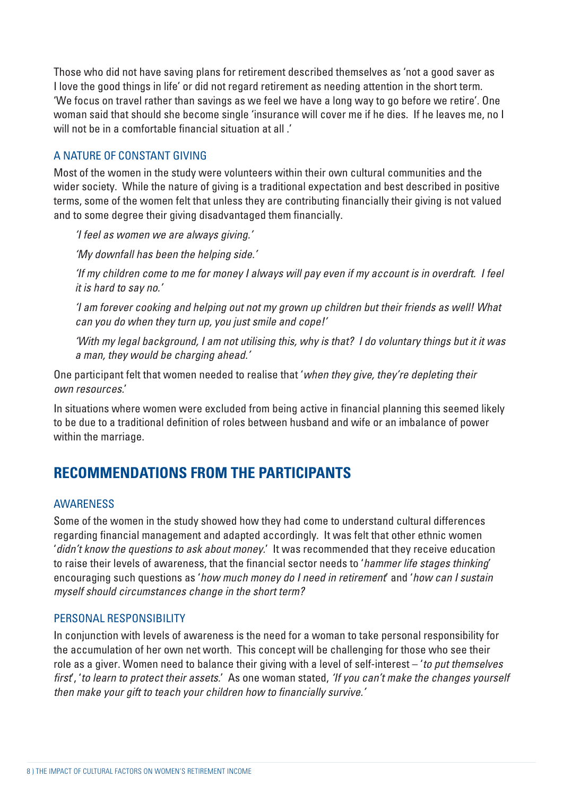Those who did not have saving plans for retirement described themselves as 'not a good saver as I love the good things in life' or did not regard retirement as needing attention in the short term. 'We focus on travel rather than savings as we feel we have a long way to go before we retire'. One woman said that should she become single 'insurance will cover me if he dies. If he leaves me, no I will not be in a comfortable financial situation at all.'

#### A NATURE OF CONSTANT GIVING

Most of the women in the study were volunteers within their own cultural communities and the wider society. While the nature of giving is a traditional expectation and best described in positive terms, some of the women felt that unless they are contributing financially their giving is not valued and to some degree their giving disadvantaged them financially.

'I feel as women we are always giving.'

'My downfall has been the helping side.'

'If my children come to me for money I always will pay even if my account is in overdraft. I feel it is hard to say no.'

'I am forever cooking and helping out not my grown up children but their friends as well! What can you do when they turn up, you just smile and cope!'

'With my legal background, I am not utilising this, why is that? I do voluntary things but it it was a man, they would be charging ahead.'

One participant felt that women needed to realise that 'when they give, they're depleting their own resources.'

In situations where women were excluded from being active in financial planning this seemed likely to be due to a traditional definition of roles between husband and wife or an imbalance of power within the marriage.

# **RECOMMENDATIONS FROM THE PARTICIPANTS**

#### AWARENESS

Some of the women in the study showed how they had come to understand cultural differences regarding financial management and adapted accordingly. It was felt that other ethnic women 'didn't know the questions to ask about money.' It was recommended that they receive education to raise their levels of awareness, that the financial sector needs to 'hammer life stages thinking' encouraging such questions as 'how much money do I need in retirement' and 'how can I sustain myself should circumstances change in the short term?

#### PERSONAL RESPONSIBILITY

In conjunction with levels of awareness is the need for a woman to take personal responsibility for the accumulation of her own net worth. This concept will be challenging for those who see their role as a giver. Women need to balance their giving with a level of self-interest – 'to put themselves first', 'to learn to protect their assets.' As one woman stated, 'If you can't make the changes yourself then make your gift to teach your children how to financially survive.'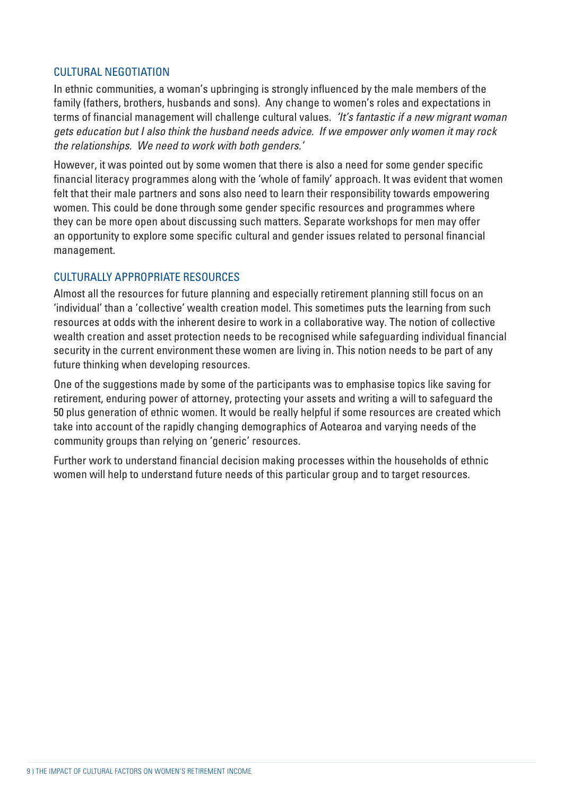#### CULTURAL NEGOTIATION

In ethnic communities, a woman's upbringing is strongly influenced by the male members of the family (fathers, brothers, husbands and sons). Any change to women's roles and expectations in terms of financial management will challenge cultural values. 'It's fantastic if a new migrant woman gets education but I also think the husband needs advice. If we empower only women it may rock the relationships. We need to work with both genders.'

However, it was pointed out by some women that there is also a need for some gender specific financial literacy programmes along with the 'whole of family' approach. It was evident that women felt that their male partners and sons also need to learn their responsibility towards empowering women. This could be done through some gender specific resources and programmes where they can be more open about discussing such matters. Separate workshops for men may offer an opportunity to explore some specific cultural and gender issues related to personal financial management.

#### CULTURALLY APPROPRIATE RESOURCES

Almost all the resources for future planning and especially retirement planning still focus on an 'individual' than a 'collective' wealth creation model. This sometimes puts the learning from such resources at odds with the inherent desire to work in a collaborative way. The notion of collective wealth creation and asset protection needs to be recognised while safeguarding individual financial security in the current environment these women are living in. This notion needs to be part of any future thinking when developing resources.

One of the suggestions made by some of the participants was to emphasise topics like saving for retirement, enduring power of attorney, protecting your assets and writing a will to safeguard the 50 plus generation of ethnic women. It would be really helpful if some resources are created which take into account of the rapidly changing demographics of Aotearoa and varying needs of the community groups than relying on 'generic' resources.

Further work to understand financial decision making processes within the households of ethnic women will help to understand future needs of this particular group and to target resources.